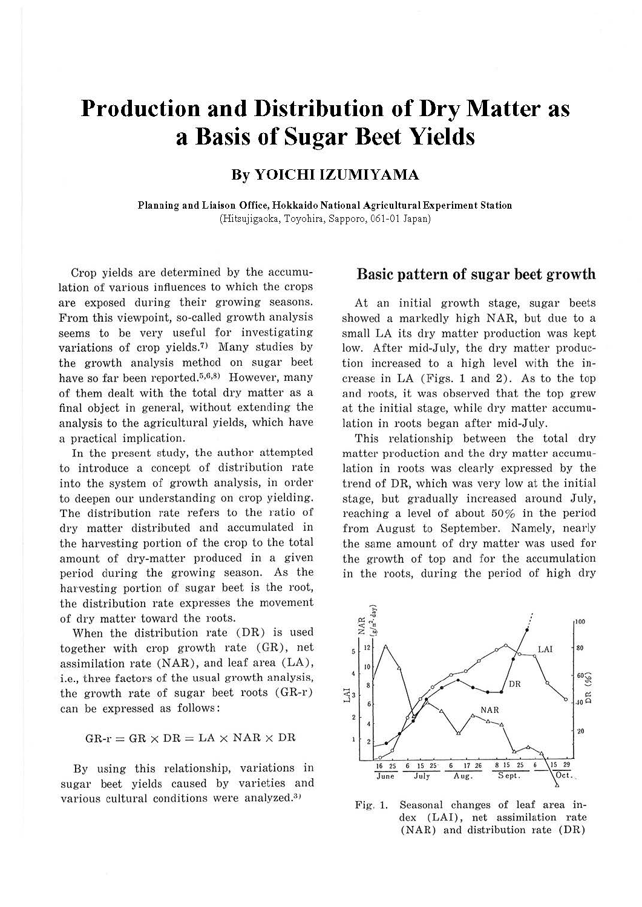# **Production and Distribution of Dry Matter as a Basis of Sugar Beet Yields**

## **By YOICHI IZUMIYAMA**

**Planning and Liaison Office, Hokkaido National Agricultural Experiment Station**  (Hitsujigaoka, Toyohira, Sapporo, 061-01 Japan)

Crop yields are determined by the accumulation of various influences to which the crops are exposed during their growing seasons. From this viewpoint, so-called growth analysis seems to be very useful for investigating variations of crop yields.<sup>7)</sup> Many studies by the growth analysis method on sugar beet have so far been reported. $5,6,8$  However, many of them dealt with the total dry matter as a final object in general, without extending the analysis to the agricultural yields, which have a practical implication.

In the present study, the author attempted to introduce a concept of distribution rate into the system of growth analysis, in order to deepen our understanding on crop yielding. The distribution rate refers to the ratio of dry matter distributed and accumulated in the harvesting portion of the crop to the total amount of dry-matter produced in a given period during the growing season. As the harvesting portion of sugar beet is the root, the distribution rate expresses the movement of dry matter toward the roots.

When the distribution rate (DR) is used together with crop growth rate (GR), net assimilation rate  $(NAR)$ , and leaf area  $(LA)$ , i.e., three factors of the usual growth analysis, the growth rate of sugar beet roots (GR-r) can be expressed as follows :

 $GR-r = GR \times DR = LA \times NAR \times DR$ 

By using this relationship, variations in sugar beet yields caused by varieties and various cultural conditions were analyzed.<sup>3)</sup>

#### Basic pattern of sugar beet growth

At an initial growth stage, sugar beets showed a markedly high NAR, but due to a small LA its dry matter production was kept low. After mid-July, the dry matter production increased to a high level with the increase in LA (Figs. 1 and 2). As to the top and roots, it was observed that the top grew at the initial stage, while dry matter accumulation in roots began after mid-July.

This relationship between the total dry matter production and the dry matter accumulation in roots was clearly expressed by the trend of DR, which was very low at the initial stage, but gradually increased around July, reaching a level of about 50% in the period from August to September. Namely, nearly the same amount of dry matter was used for the growth of top and for the accumulation in the roots, during the period of high dry



Fig. 1. Seasonal changes of leaf area index (LAI), net assimilation rate (NAR) and distribution rate (DR)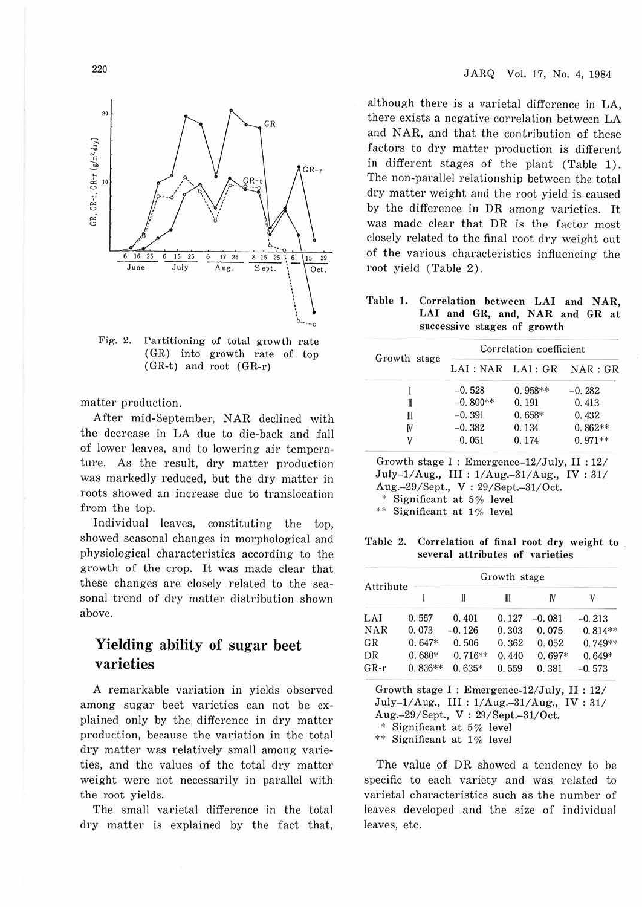



Fig. 2. Partitioning of total growth rate (GR) into growth rate of top (GR-t) and root (GR-r)

matter production.

After mid-September, NAR declined with the decrease in LA due to die-back and fall of lower leaves, and to lowering air temperature. As the result, dry matter production was markedly reduced, but the dry matter in roots showed an increase due to translocation from the top.

Individual leaves, constituting the top, showed seasonal changes in morphological and physiological characteristics according to the growth of the crop. It was made clear that these changes are closely related to the seasonal trend of dry matter distribution shown above.

## **Yielding ability of sugar beet varieties**

A remarkable variation in vields observed among sugar beet varieties can not be explained only by the difference in dry matter production, because the variation in the total dry matter was relatively small among varieties, and the values of the total dry matter weight were not necessarily in parallel with the root yields.

The small varietal difference in the total dry matter is explained by the fact that, although there is a varietal difference in LA, there exists a negative correlation between LA and NAR, and that the contribution of these factors to dry matter production is different in different stages of the plant (Table 1). The non-parallel relationship between the total dry matter weight and the root yield is caused by the difference in DR among varieties. It was made clear that DR is the factor most closely related to the final root dry weight out of the various characteristics influencing the root yield (Table 2).

**Table l. Correlation between LAI and NAR, LAI and GR, and, NAR and GR at s uccessive stages of growth** 

| Growth stage | Correlation coefficient |           |           |  |  |
|--------------|-------------------------|-----------|-----------|--|--|
|              | LAI : NAR LAI : GR      |           | NAR : GR  |  |  |
|              | $-0.528$                | $0.958**$ | $-0.282$  |  |  |
| I            | $-0.800**$              | 0.191     | 0.413     |  |  |
| Ш            | $-0.391$                | $0.658*$  | 0.432     |  |  |
| N            | $-0.382$                | 0.134     | $0.862**$ |  |  |
|              | $-0.051$                | 0.174     | $0.971**$ |  |  |

Growth stage I : Emergence-12/July, II : 12/ July-1/ Aug., III : 1/ Aug.-31/ Aug., IV : 31/ Aug.-29/Sept., V: 29/Sept.-31/Oct.

\* Significant at 6% level

\*\* Significant at 1% level

Table 2. Correlation of final root dry weight to several attributes of **varieties** 

| Attribute |           | Growth stage |       |          |           |  |  |
|-----------|-----------|--------------|-------|----------|-----------|--|--|
|           |           | Ш            | Ш     | N        | V         |  |  |
| LAI       | 0.557     | 0.401        | 0.127 | $-0.081$ | $-0.213$  |  |  |
| NAR       | 0.073     | $-0.126$     | 0.303 | 0.075    | $0.814**$ |  |  |
| GR        | $0.647*$  | 0.506        | 0.362 | 0.052    | $0.749**$ |  |  |
| DR        | $0.680*$  | $0.716**$    | 0.440 | $0.697*$ | $0.649*$  |  |  |
| $GR-r$    | $0.836**$ | $0.635*$     | 0.559 | 0.381    | $-0.573$  |  |  |

Growth stage I : Emergence-12/July, II : 12/ July-1/ Aug., III : 1/ Aug.- 31/ Aug., IV : 31/ Aug.-29/Sept., V : 29/Sept.-31/0ct. '' Significant at 5% level \*\* Significant at 1% level

The value of DR showed a tendency to be specific to each variety and was related to varietal characteristics such as the number of leaves developed and the size of individual leaves, etc.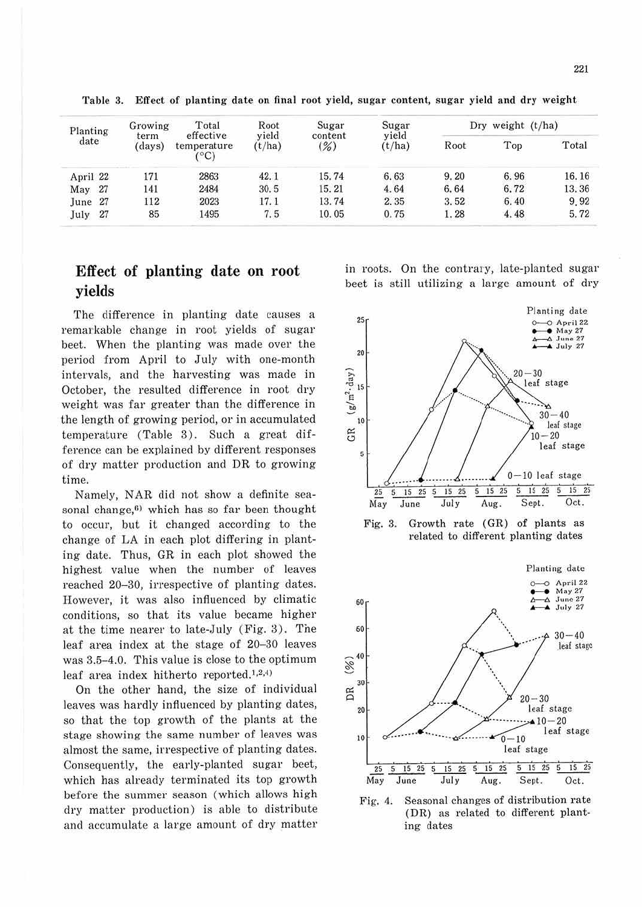| Planting   | Growing        | Total                                      | Root            | Sugar             | Sugar           |      | Dry weight (t/ha) |       |
|------------|----------------|--------------------------------------------|-----------------|-------------------|-----------------|------|-------------------|-------|
| date       | term<br>(days) | effective<br>temperature<br>$C^{\circ}$ C) | vield<br>(t/ha) | content<br>$(\%)$ | vield<br>(t/ha) | Root | Top               | Total |
| April 22   | 171            | 2863                                       | 42.1            | 15.74             | 6.63            | 9.20 | 6.96              | 16.16 |
| 27<br>May  | 141            | 2484                                       | 30.5            | 15.21             | 4.64            | 6.64 | 6.72              | 13.36 |
| 27<br>June | 112            | 2023                                       | 17.1            | 13.74             | 2.35            | 3.52 | 6.40              | 9.92  |
| 27<br>July | 85             | 1495                                       | 7.5             | 10.05             | 0.75            | 1.28 | 4.48              | 5.72  |

Table 3. Effect of planting date on final root yield, sugar content, sugar yield and dry weight

# **Effect of planting date on root yields**

The difference in planting date causes a remarkable change in root yields of sugar beet. When the planting was made over the period from April to July with one-month intervals, and the harvesting was made in October, the resulted difference in root dry weight was far greater than the difference in the length of growing period, or in accumulated temperature (Table 3). Such a great difference can be explained by different responses of dry matter production and DR to growing time.

Namely, NAR did not show a definite seasonal change, $6$ ) which has so far been thought to occur, but it changed according to the change of LA in each plot differing in planting date. Thus, GR in each plot showed the highest value when the number of leaves reached 20-30, irrespective of planting dates. However, it was also influenced by climatic conditions, so that its value became higher at the time nearer to late-July (Fig. 3). The leaf area index at the stage of 20-30 leaves was 3.5-4.0. This value is close to the optimum leaf area index hitherto reported.<sup>1,2,4)</sup>

On the other hand, the size of individual leaves was hardly influenced by planting dates, so that the top growth of the plants at the stage showing the same number of leaves was almost the same, irrespective of planting dates. Consequently, the early-planted sugar beet, which has already terminated its top growth before the summer season (which allows high dry matter production) is able to distribute and accumulate a large amount of dry matter in roots. On the contrary, late-planted sugar beet is still utilizing a large amount of dry







(DR) as related to different planting dates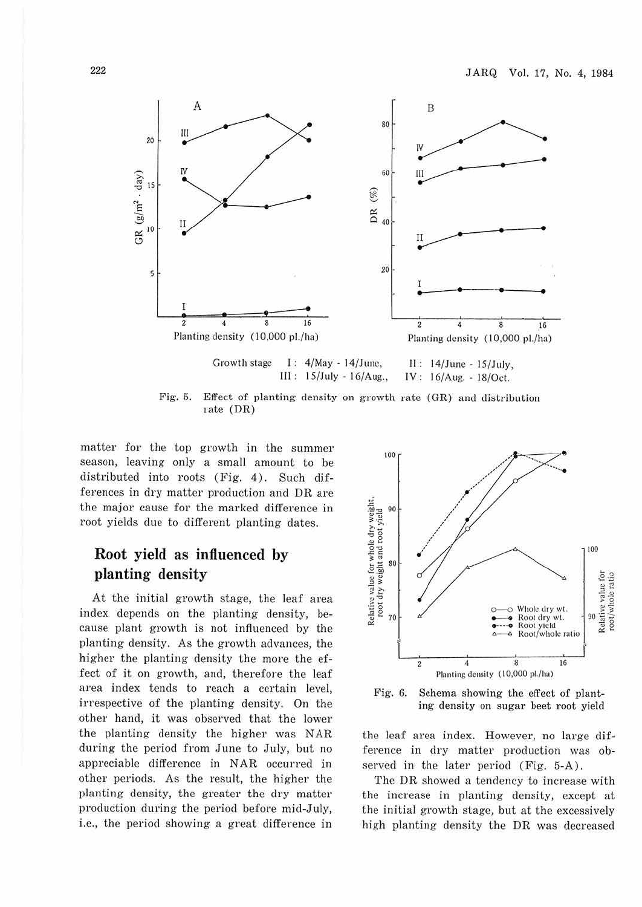

rate (DR)

matter for the top growth in the summer season, leaving only a small amount to be distributed into roots (Fig. 4). Such differences in dry matter production and DR are the major cause for the marked difference in root yields due to different planting dates.

# **Root yield as influenced by planting density**

At the initial growth stage, the leaf area index depends on the planting density, because plant growth is not influenced by the planting density. As the growth advances, the higher the planting density the more the effect of it on growth, and, therefore the leaf area index tends to reach a certain level, irrespective of the planting density. On the other hand, it was observed that the lower the planting density the higher was NAR during the period from June to July, but no appreciable difference in NAR occuned in other periods. As the result, the higher the planting density, the greater the dry matter production during the period before mid-July, i.e., the period showing a great difference in





the leaf area index. However, no large difference in dry matter production was observed in the later period (Fig. 5-A).

The DR showed a tendency to increase with the increase in planting density, except at the initial growth stage, but at the excessively high planting density the DR was decreased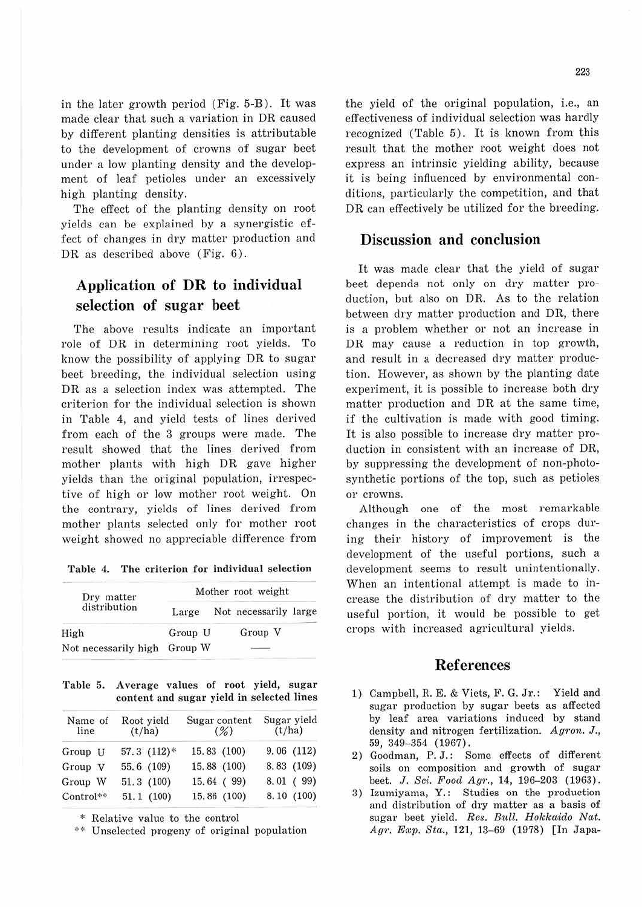in the later growth period (Fig. 5-B). It was made clear that such a variation in DR caused by different planting densities is attributable to the development of crowns of sugar beet under a low planting density and the development of leaf petioles under an excessively high planting density.

The effect of the planting density on root yields can be explained by a synergistic effect of changes in dry matter production and DR as described above (Fig. 6).

## **Application of DR to individual selection of sugar beet**

The above results indicate an important role of DR in determining root yields. To know the possibility of applying DR to sugar beet breeding, the individual selection using DR as a selection index was attempted. The criterion for the individual selection is shown in Table 4, and yield tests of lines derived from each of the 3 groups were made. The result showed that the lines derived from mother plants with high DR gave higher yields than the original population, irrespective of high or low mother root weight. On the contrary, yields of lines derived from mother plants selected only for mother root weight showed no appreciable difference from

**1'able 4. 1'he criterion for individual selection** 

| Dry matter           | Mother root weight |                       |  |  |  |
|----------------------|--------------------|-----------------------|--|--|--|
| distribution         | Large              | Not necessarily large |  |  |  |
| High                 | Group U            | Group V               |  |  |  |
| Not necessarily high | Group W            |                       |  |  |  |

1'able 5. Average values of root yield, sugar content and sugar yield in selected lines

| Name of<br>line | Root yield<br>(t/ha) | Sugar content<br>$(\%)$ | Sugar yield<br>(t/ha) |
|-----------------|----------------------|-------------------------|-----------------------|
| Group U         | $57.3$ $(112)*$      | 15.83 (100)             | 9.06(112)             |
| Group V         | 55.6 (109)           | 15.88 (100)             | 8.83 (109)            |
| Group W         | 51.3(100)            | 15.64 (99)              | 8.01(99)              |
| Control**       | 51.1(100)            | 15.86 (100)             | 8.10(100)             |

\* Relative value to the control

\*\* Unselected progeny of original population

the yield of the original population, i.e., an effectiveness of individual selection was hardly recognized (Table 5). It is known from this result that the mother root weight does not express an intrinsic yielding ability, because it is being influenced by environmental conditions, paxticularly the competition, and that DR can effectively be utilized for the breeding.

#### **Discussion and conclusion**

It was made clear that the yield of sugar beet depends not only on dry matter production, but also on DR. As to the relation between dry matter production and DR, there is a problem whether or not an increase in DR may cause a reduction in top growth, and result in a decreased dry matter production. However, as shown by the planting date experiment, it is possible to increase both dry matter production and DR at the same time, if the cultivation is made with good timing. It is also possible to increase dry matter production in consistent with an increase of DR, by suppressing the development of non-photosynthetic portions of the top, such as petioles or crowns.

Although one of the most remarkable changes in the characteristics of crops during their history of improvement is the development of the useful portions, such a development seems to result unintentionally. When an intentional attempt is made to increase the distribution of dry matter to the useful portion, it would be possible to get crops with increased agricultural yields.

#### **References**

- 1) Campbell, R. E. & Viets, F. G. Jr.: Yield and sugar production by sugar beets as affected by leaf area variations induced by stand density and nitrogen fertilization. *Agron.* J., 59, 349-354 (1967).
- 2) Goodman, P.J.: Some effects of different soils on composition and growth of sugar beet. J. *Sci. Food Agr.,* **14,** 196-203 ( 1963).
- 3) Izumiyama, Y.: Studies on the production and distribution of dry matter as a basis of sugar beet yield. Res. Bull. Hokkaido Nat. Agr. Exp. Sta., 121, 13-69 (1978) [In Japa-